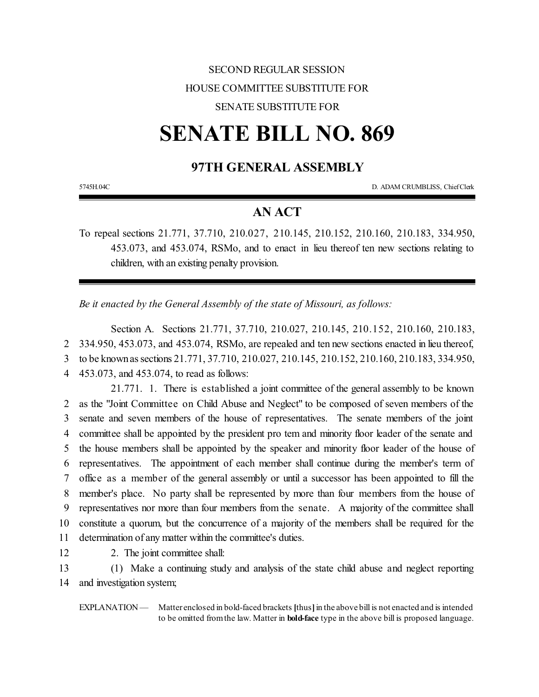## SECOND REGULAR SESSION HOUSE COMMITTEE SUBSTITUTE FOR SENATE SUBSTITUTE FOR

# **SENATE BILL NO. 869**

## **97TH GENERAL ASSEMBLY**

5745H.04C D. ADAM CRUMBLISS, ChiefClerk

## **AN ACT**

To repeal sections 21.771, 37.710, 210.027, 210.145, 210.152, 210.160, 210.183, 334.950, 453.073, and 453.074, RSMo, and to enact in lieu thereof ten new sections relating to children, with an existing penalty provision.

*Be it enacted by the General Assembly of the state of Missouri, as follows:*

Section A. Sections 21.771, 37.710, 210.027, 210.145, 210.152, 210.160, 210.183, 334.950, 453.073, and 453.074, RSMo, are repealed and ten new sections enacted in lieu thereof, to be knownassections 21.771, 37.710, 210.027, 210.145, 210.152, 210.160, 210.183, 334.950, 453.073, and 453.074, to read as follows:

21.771. 1. There is established a joint committee of the general assembly to be known as the "Joint Committee on Child Abuse and Neglect" to be composed of seven members of the senate and seven members of the house of representatives. The senate members of the joint committee shall be appointed by the president pro tem and minority floor leader of the senate and the house members shall be appointed by the speaker and minority floor leader of the house of representatives. The appointment of each member shall continue during the member's term of office as a member of the general assembly or until a successor has been appointed to fill the member's place. No party shall be represented by more than four members from the house of representatives nor more than four members from the senate. A majority of the committee shall constitute a quorum, but the concurrence of a majority of the members shall be required for the determination of any matter within the committee's duties.

12 2. The joint committee shall:

13 (1) Make a continuing study and analysis of the state child abuse and neglect reporting 14 and investigation system;

EXPLANATION — Matter enclosed in bold-faced brackets [thus] in the above bill is not enacted and is intended to be omitted fromthe law. Matter in **bold-face** type in the above bill is proposed language.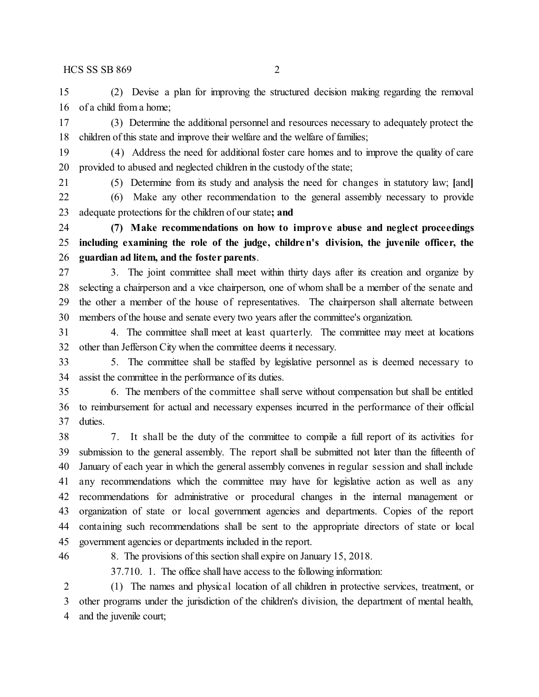(2) Devise a plan for improving the structured decision making regarding the removal of a child from a home;

 (3) Determine the additional personnel and resources necessary to adequately protect the 18 children of this state and improve their welfare and the welfare of families;

 (4) Address the need for additional foster care homes and to improve the quality of care provided to abused and neglected children in the custody of the state;

(5) Determine from its study and analysis the need for changes in statutory law; **[**and**]**

 (6) Make any other recommendation to the general assembly necessary to provide adequate protections for the children of our state**; and**

 **(7) Make recommendations on how to improve abuse and neglect proceedings including examining the role of the judge, children's division, the juvenile officer, the guardian ad litem, and the foster parents**.

 3. The joint committee shall meet within thirty days after its creation and organize by selecting a chairperson and a vice chairperson, one of whom shall be a member of the senate and the other a member of the house of representatives. The chairperson shall alternate between members of the house and senate every two years after the committee's organization.

 4. The committee shall meet at least quarterly. The committee may meet at locations other than Jefferson City when the committee deems it necessary.

 5. The committee shall be staffed by legislative personnel as is deemed necessary to assist the committee in the performance of its duties.

 6. The members of the committee shall serve without compensation but shall be entitled to reimbursement for actual and necessary expenses incurred in the performance of their official duties.

 7. It shall be the duty of the committee to compile a full report of its activities for submission to the general assembly. The report shall be submitted not later than the fifteenth of January of each year in which the general assembly convenes in regular session and shall include any recommendations which the committee may have for legislative action as well as any recommendations for administrative or procedural changes in the internal management or organization of state or local government agencies and departments. Copies of the report containing such recommendations shall be sent to the appropriate directors of state or local government agencies or departments included in the report.

8. The provisions of this section shall expire on January 15, 2018.

37.710. 1. The office shall have access to the following information:

 (1) The names and physical location of all children in protective services, treatment, or other programs under the jurisdiction of the children's division, the department of mental health, and the juvenile court;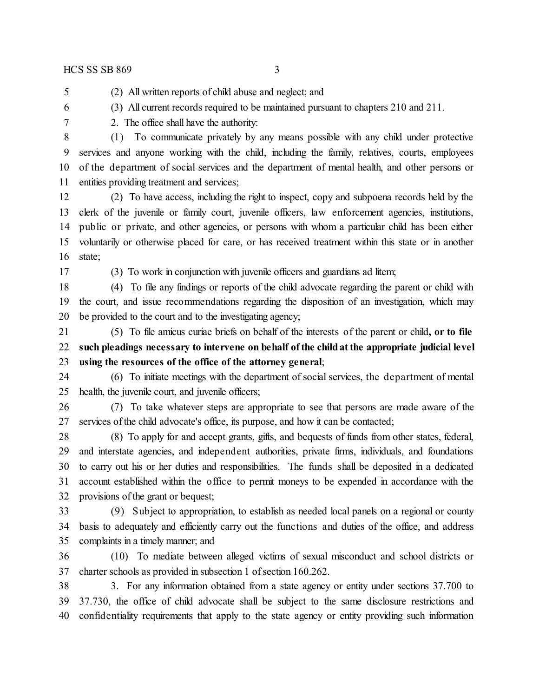(2) All written reports of child abuse and neglect; and

- (3) All current records required to be maintained pursuant to chapters 210 and 211.
- 

2. The office shall have the authority:

 (1) To communicate privately by any means possible with any child under protective services and anyone working with the child, including the family, relatives, courts, employees of the department of social services and the department of mental health, and other persons or entities providing treatment and services;

 (2) To have access, including the right to inspect, copy and subpoena records held by the clerk of the juvenile or family court, juvenile officers, law enforcement agencies, institutions, public or private, and other agencies, or persons with whom a particular child has been either voluntarily or otherwise placed for care, or has received treatment within this state or in another state;

(3) To work in conjunction with juvenile officers and guardians ad litem;

 (4) To file any findings or reports of the child advocate regarding the parent or child with the court, and issue recommendations regarding the disposition of an investigation, which may be provided to the court and to the investigating agency;

 (5) To file amicus curiae briefs on behalf of the interests of the parent or child**, or to file such pleadings necessary to intervene on behalf ofthe childatthe appropriate judicial level using the resources of the office of the attorney general**;

 (6) To initiate meetings with the department of social services, the department of mental health, the juvenile court, and juvenile officers;

 (7) To take whatever steps are appropriate to see that persons are made aware of the services of the child advocate's office, its purpose, and how it can be contacted;

 (8) To apply for and accept grants, gifts, and bequests of funds from other states, federal, and interstate agencies, and independent authorities, private firms, individuals, and foundations to carry out his or her duties and responsibilities. The funds shall be deposited in a dedicated account established within the office to permit moneys to be expended in accordance with the provisions of the grant or bequest;

 (9) Subject to appropriation, to establish as needed local panels on a regional or county basis to adequately and efficiently carry out the functions and duties of the office, and address complaints in a timely manner; and

 (10) To mediate between alleged victims of sexual misconduct and school districts or charter schools as provided in subsection 1 of section 160.262.

 3. For any information obtained from a state agency or entity under sections 37.700 to 37.730, the office of child advocate shall be subject to the same disclosure restrictions and confidentiality requirements that apply to the state agency or entity providing such information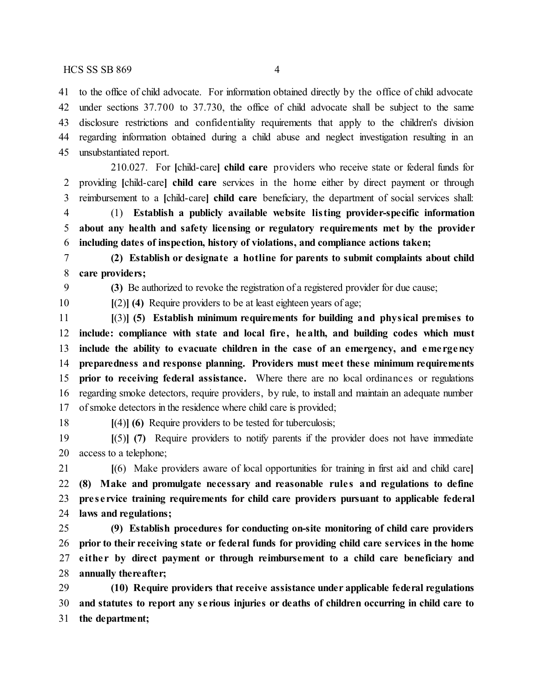to the office of child advocate. For information obtained directly by the office of child advocate under sections 37.700 to 37.730, the office of child advocate shall be subject to the same disclosure restrictions and confidentiality requirements that apply to the children's division regarding information obtained during a child abuse and neglect investigation resulting in an unsubstantiated report.

210.027. For **[**child-care**] child care** providers who receive state or federal funds for providing **[**child-care**] child care** services in the home either by direct payment or through reimbursement to a **[**child-care**] child care** beneficiary, the department of social services shall:

 (1) **Establish a publicly available website listing provider-specific information about any health and safety licensing or regulatory requirements met by the provider including dates of inspection, history of violations, and compliance actions taken;**

 **(2) Establish or designate a hotline for parents to submit complaints about child care providers;**

**(3)** Be authorized to revoke the registration of a registered provider for due cause;

**[**(2)**] (4)** Require providers to be at least eighteen years of age;

 **[**(3)**] (5) Establish minimum requirements for building and physical premises to include: compliance with state and local fire , health, and building codes which must include the ability to evacuate children in the case of an emergency, and eme rgency preparedness and response planning. Providers must meet these minimum requirements prior to receiving federal assistance.** Where there are no local ordinances or regulations regarding smoke detectors, require providers, by rule, to install and maintain an adequate number of smoke detectors in the residence where child care is provided;

**[**(4)**] (6)** Require providers to be tested for tuberculosis;

 **[**(5)**] (7)** Require providers to notify parents if the provider does not have immediate access to a telephone;

 **[**(6) Make providers aware of local opportunities for training in first aid and child care**] (8) Make and promulgate necessary and reasonable rule s and regulations to define pre se rvice training requirements for child care providers pursuant to applicable federal laws and regulations;**

 **(9) Establish procedures for conducting on-site monitoring of child care providers prior to their receiving state or federal funds for providing child care services in the home e ithe r by direct payment or through reimbursement to a child care beneficiary and annually thereafter;**

 **(10) Require providers that receive assistance under applicable federal regulations and statutes to report any se rious injuries or deaths of children occurring in child care to the department;**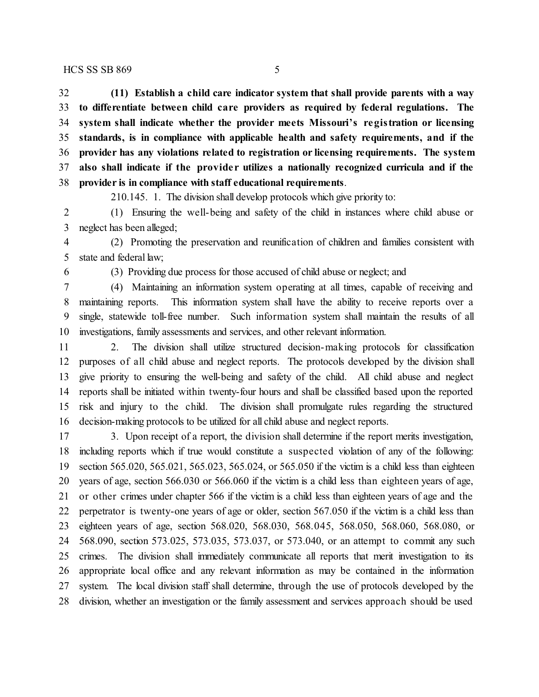**(11) Establish a child care indicator system that shall provide parents with a way to differentiate between child care providers as required by federal regulations. The system shall indicate whether the provider meets Missouri's registration or licensing standards, is in compliance with applicable health and safety requirements, and if the provider has any violations related to registration or licensing requirements. The system also shall indicate if the provide r utilizes a nationally recognized curricula and if the provider is in compliance with staff educational requirements**.

210.145. 1. The division shall develop protocols which give priority to:

 (1) Ensuring the well-being and safety of the child in instances where child abuse or neglect has been alleged;

 (2) Promoting the preservation and reunification of children and families consistent with state and federal law;

(3) Providing due process for those accused of child abuse or neglect; and

 (4) Maintaining an information system operating at all times, capable of receiving and maintaining reports. This information system shall have the ability to receive reports over a single, statewide toll-free number. Such information system shall maintain the results of all investigations, family assessments and services, and other relevant information.

 2. The division shall utilize structured decision-making protocols for classification purposes of all child abuse and neglect reports. The protocols developed by the division shall give priority to ensuring the well-being and safety of the child. All child abuse and neglect reports shall be initiated within twenty-four hours and shall be classified based upon the reported risk and injury to the child. The division shall promulgate rules regarding the structured decision-making protocols to be utilized for all child abuse and neglect reports.

 3. Upon receipt of a report, the division shall determine if the report merits investigation, including reports which if true would constitute a suspected violation of any of the following: section 565.020, 565.021, 565.023, 565.024, or 565.050 if the victim is a child less than eighteen years of age, section 566.030 or 566.060 if the victim is a child less than eighteen years of age, or other crimes under chapter 566 if the victim is a child less than eighteen years of age and the perpetrator is twenty-one years of age or older, section 567.050 if the victim is a child less than eighteen years of age, section 568.020, 568.030, 568.045, 568.050, 568.060, 568.080, or 568.090, section 573.025, 573.035, 573.037, or 573.040, or an attempt to commit any such crimes. The division shall immediately communicate all reports that merit investigation to its appropriate local office and any relevant information as may be contained in the information system. The local division staff shall determine, through the use of protocols developed by the division, whether an investigation or the family assessment and services approach should be used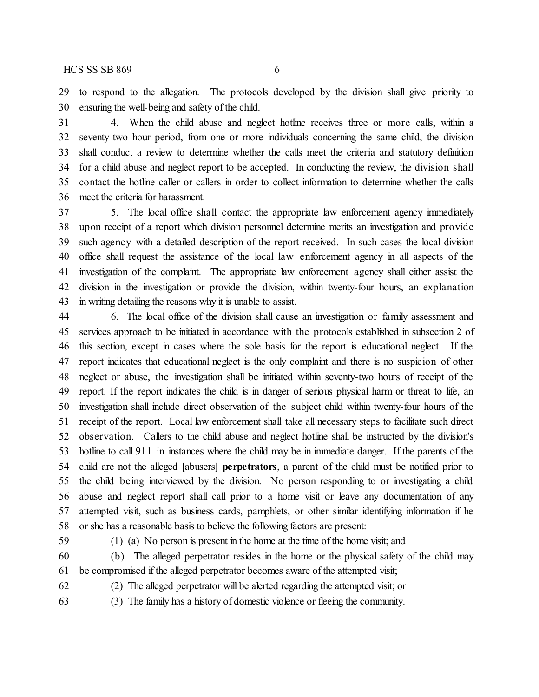to respond to the allegation. The protocols developed by the division shall give priority to ensuring the well-being and safety of the child.

 4. When the child abuse and neglect hotline receives three or more calls, within a seventy-two hour period, from one or more individuals concerning the same child, the division shall conduct a review to determine whether the calls meet the criteria and statutory definition for a child abuse and neglect report to be accepted. In conducting the review, the division shall contact the hotline caller or callers in order to collect information to determine whether the calls meet the criteria for harassment.

 5. The local office shall contact the appropriate law enforcement agency immediately upon receipt of a report which division personnel determine merits an investigation and provide such agency with a detailed description of the report received. In such cases the local division office shall request the assistance of the local law enforcement agency in all aspects of the investigation of the complaint. The appropriate law enforcement agency shall either assist the division in the investigation or provide the division, within twenty-four hours, an explanation in writing detailing the reasons why it is unable to assist.

 6. The local office of the division shall cause an investigation or family assessment and services approach to be initiated in accordance with the protocols established in subsection 2 of this section, except in cases where the sole basis for the report is educational neglect. If the report indicates that educational neglect is the only complaint and there is no suspicion of other neglect or abuse, the investigation shall be initiated within seventy-two hours of receipt of the report. If the report indicates the child is in danger of serious physical harm or threat to life, an investigation shall include direct observation of the subject child within twenty-four hours of the receipt of the report. Local law enforcement shall take all necessary steps to facilitate such direct observation. Callers to the child abuse and neglect hotline shall be instructed by the division's hotline to call 911 in instances where the child may be in immediate danger. If the parents of the child are not the alleged **[**abusers**] perpetrators**, a parent of the child must be notified prior to the child being interviewed by the division. No person responding to or investigating a child abuse and neglect report shall call prior to a home visit or leave any documentation of any attempted visit, such as business cards, pamphlets, or other similar identifying information if he or she has a reasonable basis to believe the following factors are present:

(1) (a) No person is present in the home at the time ofthe home visit; and

 (b) The alleged perpetrator resides in the home or the physical safety of the child may be compromised if the alleged perpetrator becomes aware of the attempted visit;

(2) The alleged perpetrator will be alerted regarding the attempted visit; or

(3) The family has a history of domestic violence or fleeing the community.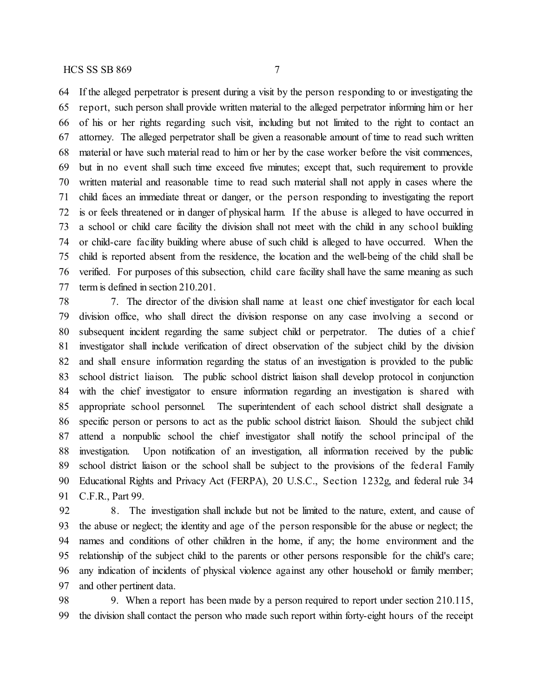If the alleged perpetrator is present during a visit by the person responding to or investigating the report, such person shall provide written material to the alleged perpetrator informing him or her of his or her rights regarding such visit, including but not limited to the right to contact an attorney. The alleged perpetrator shall be given a reasonable amount of time to read such written material or have such material read to him or her by the case worker before the visit commences, but in no event shall such time exceed five minutes; except that, such requirement to provide

 written material and reasonable time to read such material shall not apply in cases where the child faces an immediate threat or danger, or the person responding to investigating the report is or feels threatened or in danger of physical harm. If the abuse is alleged to have occurred in a school or child care facility the division shall not meet with the child in any school building or child-care facility building where abuse of such child is alleged to have occurred. When the child is reported absent from the residence, the location and the well-being of the child shall be verified. For purposes of this subsection, child care facility shall have the same meaning as such term is defined in section 210.201.

 7. The director of the division shall name at least one chief investigator for each local division office, who shall direct the division response on any case involving a second or subsequent incident regarding the same subject child or perpetrator. The duties of a chief investigator shall include verification of direct observation of the subject child by the division and shall ensure information regarding the status of an investigation is provided to the public school district liaison. The public school district liaison shall develop protocol in conjunction with the chief investigator to ensure information regarding an investigation is shared with appropriate school personnel. The superintendent of each school district shall designate a specific person or persons to act as the public school district liaison. Should the subject child attend a nonpublic school the chief investigator shall notify the school principal of the investigation. Upon notification of an investigation, all information received by the public school district liaison or the school shall be subject to the provisions of the federal Family Educational Rights and Privacy Act (FERPA), 20 U.S.C., Section 1232g, and federal rule 34 C.F.R., Part 99.

 8. The investigation shall include but not be limited to the nature, extent, and cause of the abuse or neglect; the identity and age of the person responsible for the abuse or neglect; the names and conditions of other children in the home, if any; the home environment and the relationship of the subject child to the parents or other persons responsible for the child's care; any indication of incidents of physical violence against any other household or family member; and other pertinent data.

98 9. When a report has been made by a person required to report under section 210.115, the division shall contact the person who made such report within forty-eight hours of the receipt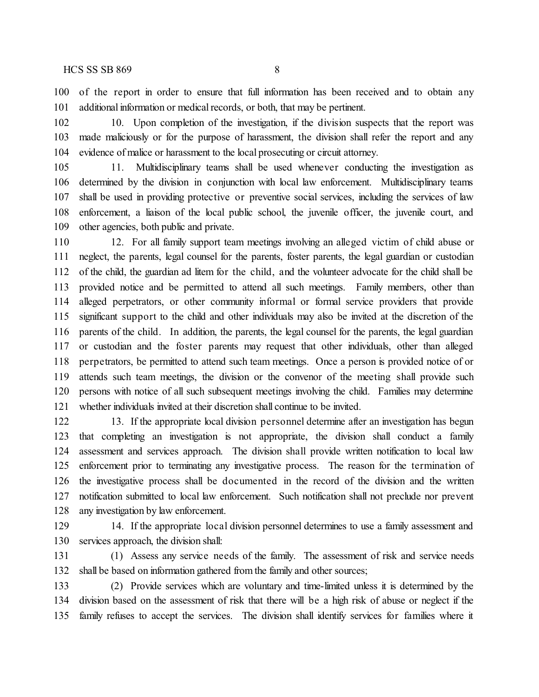of the report in order to ensure that full information has been received and to obtain any additional information or medical records, or both, that may be pertinent.

 10. Upon completion of the investigation, if the division suspects that the report was made maliciously or for the purpose of harassment, the division shall refer the report and any evidence of malice or harassment to the local prosecuting or circuit attorney.

 11. Multidisciplinary teams shall be used whenever conducting the investigation as determined by the division in conjunction with local law enforcement. Multidisciplinary teams shall be used in providing protective or preventive social services, including the services of law enforcement, a liaison of the local public school, the juvenile officer, the juvenile court, and other agencies, both public and private.

 12. For all family support team meetings involving an alleged victim of child abuse or neglect, the parents, legal counsel for the parents, foster parents, the legal guardian or custodian of the child, the guardian ad litem for the child, and the volunteer advocate for the child shall be provided notice and be permitted to attend all such meetings. Family members, other than alleged perpetrators, or other community informal or formal service providers that provide significant support to the child and other individuals may also be invited at the discretion of the parents of the child. In addition, the parents, the legal counsel for the parents, the legal guardian or custodian and the foster parents may request that other individuals, other than alleged perpetrators, be permitted to attend such team meetings. Once a person is provided notice of or attends such team meetings, the division or the convenor of the meeting shall provide such persons with notice of all such subsequent meetings involving the child. Families may determine whether individuals invited at their discretion shall continue to be invited.

 13. If the appropriate local division personnel determine after an investigation has begun that completing an investigation is not appropriate, the division shall conduct a family assessment and services approach. The division shall provide written notification to local law enforcement prior to terminating any investigative process. The reason for the termination of the investigative process shall be documented in the record of the division and the written notification submitted to local law enforcement. Such notification shall not preclude nor prevent any investigation by law enforcement.

 14. If the appropriate local division personnel determines to use a family assessment and services approach, the division shall:

 (1) Assess any service needs of the family. The assessment of risk and service needs shall be based on information gathered from the family and other sources;

 (2) Provide services which are voluntary and time-limited unless it is determined by the division based on the assessment of risk that there will be a high risk of abuse or neglect if the family refuses to accept the services. The division shall identify services for families where it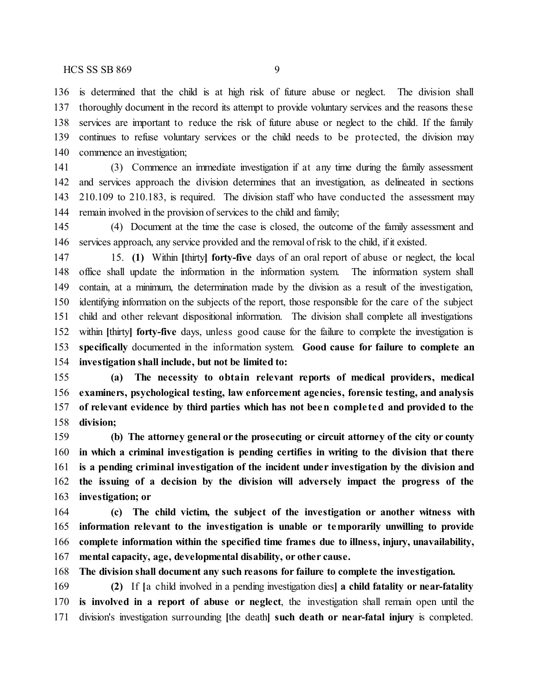is determined that the child is at high risk of future abuse or neglect. The division shall thoroughly document in the record its attempt to provide voluntary services and the reasons these services are important to reduce the risk of future abuse or neglect to the child. If the family continues to refuse voluntary services or the child needs to be protected, the division may commence an investigation;

 (3) Commence an immediate investigation if at any time during the family assessment and services approach the division determines that an investigation, as delineated in sections 210.109 to 210.183, is required. The division staff who have conducted the assessment may 144 remain involved in the provision of services to the child and family;

 (4) Document at the time the case is closed, the outcome of the family assessment and services approach, any service provided and the removal of risk to the child, if it existed.

 15. **(1)** Within **[**thirty**] forty-five** days of an oral report of abuse or neglect, the local office shall update the information in the information system. The information system shall contain, at a minimum, the determination made by the division as a result of the investigation, identifying information on the subjects of the report, those responsible for the care of the subject child and other relevant dispositional information. The division shall complete all investigations within **[**thirty**] forty-five** days, unless good cause for the failure to complete the investigation is **specifically** documented in the information system. **Good cause for failure to complete an investigation shall include, but not be limited to:**

 **(a) The necessity to obtain relevant reports of medical providers, medical examiners, psychological testing, law enforcement agencies, forensic testing, and analysis of relevant evidence by third parties which has not been comple ted and provided to the division;**

 **(b) The attorney general or the prosecuting or circuit attorney of the city or county in which a criminal investigation is pending certifies in writing to the division that there is a pending criminal investigation of the incident under investigation by the division and the issuing of a decision by the division will adversely impact the progress of the investigation; or**

 **(c) The child victim, the subject of the investigation or another witness with information relevant to the investigation is unable or temporarily unwilling to provide complete information within the specified time frames due to illness, injury, unavailability, mental capacity, age, developmental disability, or other cause.**

**The division shall document any such reasons for failure to complete the investigation.**

 **(2)** If **[**a child involved in a pending investigation dies**] a child fatality or near-fatality is involved in a report of abuse or neglect**, the investigation shall remain open until the division's investigation surrounding **[**the death**] such death or near-fatal injury** is completed.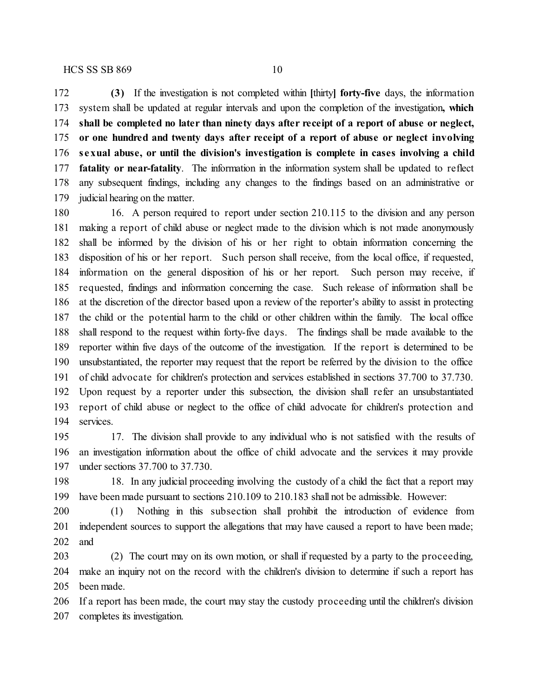**(3)** If the investigation is not completed within **[**thirty**] forty-five** days, the information system shall be updated at regular intervals and upon the completion of the investigation**, which shall be completed no later than ninety days after receipt of a report of abuse or neglect, or one hundred and twenty days after receipt of a report of abuse or neglect involving sexual abuse, or until the division's investigation is complete in cases involving a child fatality or near-fatality**. The information in the information system shall be updated to reflect any subsequent findings, including any changes to the findings based on an administrative or judicial hearing on the matter.

 16. A person required to report under section 210.115 to the division and any person making a report of child abuse or neglect made to the division which is not made anonymously shall be informed by the division of his or her right to obtain information concerning the disposition of his or her report. Such person shall receive, from the local office, if requested, information on the general disposition of his or her report. Such person may receive, if requested, findings and information concerning the case. Such release of information shall be at the discretion of the director based upon a review of the reporter's ability to assist in protecting the child or the potential harm to the child or other children within the family. The local office shall respond to the request within forty-five days. The findings shall be made available to the reporter within five days of the outcome of the investigation. If the report is determined to be unsubstantiated, the reporter may request that the report be referred by the division to the office of child advocate for children's protection and services established in sections 37.700 to 37.730. Upon request by a reporter under this subsection, the division shall refer an unsubstantiated report of child abuse or neglect to the office of child advocate for children's protection and services.

 17. The division shall provide to any individual who is not satisfied with the results of an investigation information about the office of child advocate and the services it may provide under sections 37.700 to 37.730.

 18. In any judicial proceeding involving the custody of a child the fact that a report may have been made pursuant to sections 210.109 to 210.183 shall not be admissible. However:

 (1) Nothing in this subsection shall prohibit the introduction of evidence from independent sources to support the allegations that may have caused a report to have been made; and

 (2) The court may on its own motion, or shall if requested by a party to the proceeding, make an inquiry not on the record with the children's division to determine if such a report has been made.

 If a report has been made, the court may stay the custody proceeding until the children's division completes its investigation.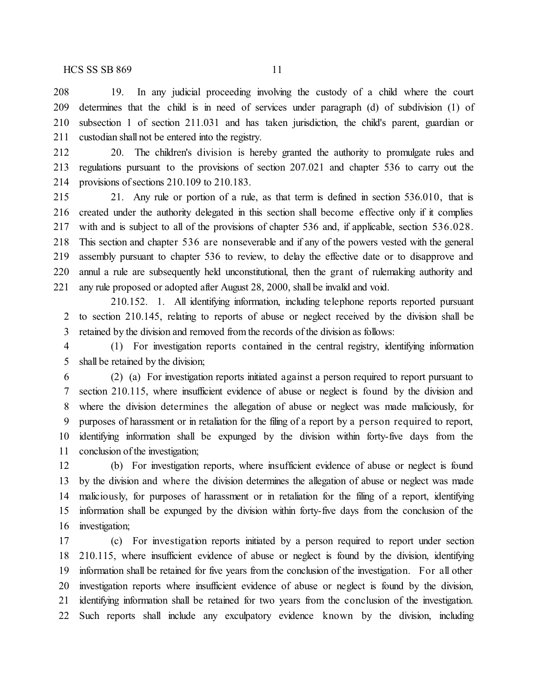19. In any judicial proceeding involving the custody of a child where the court determines that the child is in need of services under paragraph (d) of subdivision (1) of subsection 1 of section 211.031 and has taken jurisdiction, the child's parent, guardian or custodian shall not be entered into the registry.

 20. The children's division is hereby granted the authority to promulgate rules and regulations pursuant to the provisions of section 207.021 and chapter 536 to carry out the provisions of sections 210.109 to 210.183.

 21. Any rule or portion of a rule, as that term is defined in section 536.010, that is created under the authority delegated in this section shall become effective only if it complies with and is subject to all of the provisions of chapter 536 and, if applicable, section 536.028. This section and chapter 536 are nonseverable and if any of the powers vested with the general assembly pursuant to chapter 536 to review, to delay the effective date or to disapprove and annul a rule are subsequently held unconstitutional, then the grant of rulemaking authority and any rule proposed or adopted after August 28, 2000, shall be invalid and void.

210.152. 1. All identifying information, including telephone reports reported pursuant to section 210.145, relating to reports of abuse or neglect received by the division shall be retained by the division and removed from the records of the division as follows:

 (1) For investigation reports contained in the central registry, identifying information shall be retained by the division;

 (2) (a) For investigation reports initiated against a person required to report pursuant to section 210.115, where insufficient evidence of abuse or neglect is found by the division and where the division determines the allegation of abuse or neglect was made maliciously, for purposes of harassment or in retaliation for the filing of a report by a person required to report, identifying information shall be expunged by the division within forty-five days from the conclusion of the investigation;

 (b) For investigation reports, where insufficient evidence of abuse or neglect is found by the division and where the division determines the allegation of abuse or neglect was made maliciously, for purposes of harassment or in retaliation for the filing of a report, identifying information shall be expunged by the division within forty-five days from the conclusion of the investigation;

 (c) For investigation reports initiated by a person required to report under section 210.115, where insufficient evidence of abuse or neglect is found by the division, identifying information shall be retained for five years from the conclusion of the investigation. For all other investigation reports where insufficient evidence of abuse or neglect is found by the division, identifying information shall be retained for two years from the conclusion of the investigation. Such reports shall include any exculpatory evidence known by the division, including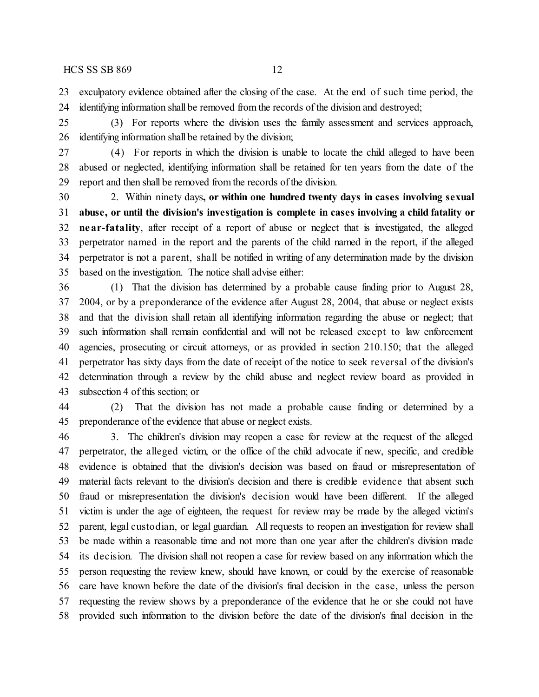exculpatory evidence obtained after the closing of the case. At the end of such time period, the identifying information shall be removed from the records of the division and destroyed;

 (3) For reports where the division uses the family assessment and services approach, identifying information shall be retained by the division;

 (4) For reports in which the division is unable to locate the child alleged to have been abused or neglected, identifying information shall be retained for ten years from the date of the report and then shall be removed from the records of the division.

 2. Within ninety days**, or within one hundred twenty days in cases involving sexual abuse, or until the division's investigation is complete in cases involving a child fatality or near-fatality**, after receipt of a report of abuse or neglect that is investigated, the alleged perpetrator named in the report and the parents of the child named in the report, if the alleged perpetrator is not a parent, shall be notified in writing of any determination made by the division based on the investigation. The notice shall advise either:

 (1) That the division has determined by a probable cause finding prior to August 28, 2004, or by a preponderance of the evidence after August 28, 2004, that abuse or neglect exists and that the division shall retain all identifying information regarding the abuse or neglect; that such information shall remain confidential and will not be released except to law enforcement agencies, prosecuting or circuit attorneys, or as provided in section 210.150; that the alleged perpetrator has sixty days from the date of receipt of the notice to seek reversal of the division's determination through a review by the child abuse and neglect review board as provided in subsection 4 of this section; or

 (2) That the division has not made a probable cause finding or determined by a preponderance of the evidence that abuse or neglect exists.

 3. The children's division may reopen a case for review at the request of the alleged perpetrator, the alleged victim, or the office of the child advocate if new, specific, and credible evidence is obtained that the division's decision was based on fraud or misrepresentation of material facts relevant to the division's decision and there is credible evidence that absent such fraud or misrepresentation the division's decision would have been different. If the alleged victim is under the age of eighteen, the request for review may be made by the alleged victim's parent, legal custodian, or legal guardian. All requests to reopen an investigation for review shall be made within a reasonable time and not more than one year after the children's division made its decision. The division shall not reopen a case for review based on any information which the person requesting the review knew, should have known, or could by the exercise of reasonable care have known before the date of the division's final decision in the case, unless the person requesting the review shows by a preponderance of the evidence that he or she could not have provided such information to the division before the date of the division's final decision in the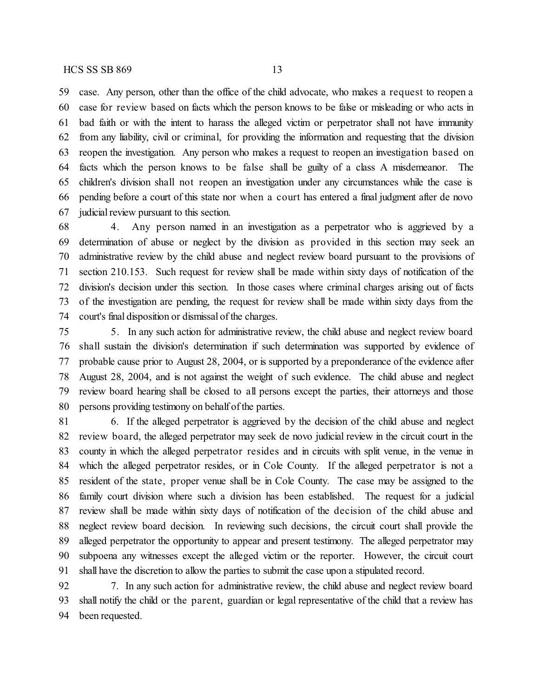case. Any person, other than the office of the child advocate, who makes a request to reopen a case for review based on facts which the person knows to be false or misleading or who acts in bad faith or with the intent to harass the alleged victim or perpetrator shall not have immunity

 from any liability, civil or criminal, for providing the information and requesting that the division reopen the investigation. Any person who makes a request to reopen an investigation based on facts which the person knows to be false shall be guilty of a class A misdemeanor. The children's division shall not reopen an investigation under any circumstances while the case is pending before a court of this state nor when a court has entered a final judgment after de novo judicial review pursuant to this section.

 4. Any person named in an investigation as a perpetrator who is aggrieved by a determination of abuse or neglect by the division as provided in this section may seek an administrative review by the child abuse and neglect review board pursuant to the provisions of section 210.153. Such request for review shall be made within sixty days of notification of the division's decision under this section. In those cases where criminal charges arising out of facts of the investigation are pending, the request for review shall be made within sixty days from the court's final disposition or dismissal of the charges.

 5. In any such action for administrative review, the child abuse and neglect review board shall sustain the division's determination if such determination was supported by evidence of probable cause prior to August 28, 2004, or is supported by a preponderance of the evidence after August 28, 2004, and is not against the weight of such evidence. The child abuse and neglect review board hearing shall be closed to all persons except the parties, their attorneys and those persons providing testimony on behalf of the parties.

 6. If the alleged perpetrator is aggrieved by the decision of the child abuse and neglect review board, the alleged perpetrator may seek de novo judicial review in the circuit court in the county in which the alleged perpetrator resides and in circuits with split venue, in the venue in which the alleged perpetrator resides, or in Cole County. If the alleged perpetrator is not a resident of the state, proper venue shall be in Cole County. The case may be assigned to the family court division where such a division has been established. The request for a judicial review shall be made within sixty days of notification of the decision of the child abuse and neglect review board decision. In reviewing such decisions, the circuit court shall provide the alleged perpetrator the opportunity to appear and present testimony. The alleged perpetrator may subpoena any witnesses except the alleged victim or the reporter. However, the circuit court shall have the discretion to allow the parties to submit the case upon a stipulated record.

 7. In any such action for administrative review, the child abuse and neglect review board shall notify the child or the parent, guardian or legal representative of the child that a review has been requested.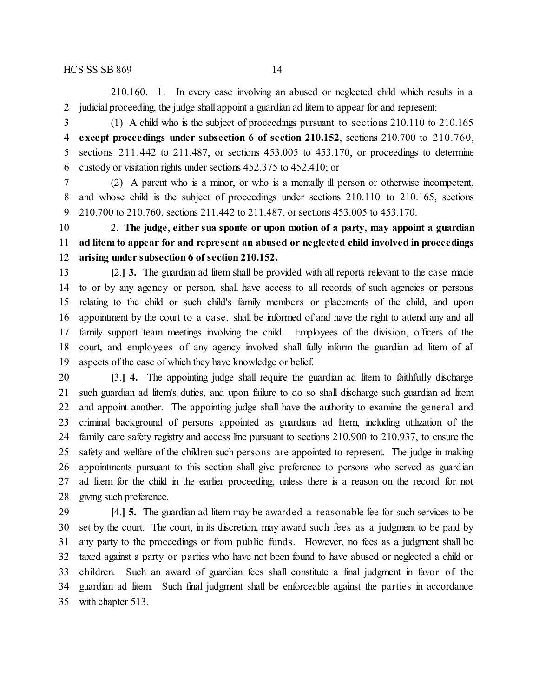210.160. 1. In every case involving an abused or neglected child which results in a judicial proceeding, the judge shall appoint a guardian ad litem to appear for and represent:

 (1) A child who is the subject of proceedings pursuant to sections 210.110 to 210.165 **except proceedings under subsection 6 of section 210.152**, sections 210.700 to 210.760, sections 211.442 to 211.487, or sections 453.005 to 453.170, or proceedings to determine custody or visitation rights under sections 452.375 to 452.410; or

 (2) A parent who is a minor, or who is a mentally ill person or otherwise incompetent, and whose child is the subject of proceedings under sections 210.110 to 210.165, sections 210.700 to 210.760, sections 211.442 to 211.487, or sections 453.005 to 453.170.

 2. **The judge, either sua sponte or upon motion of a party, may appoint a guardian ad litem to appear for and represent an abused or neglected child involved in proceedings arising under subsection 6 of section 210.152.**

 **[**2.**] 3.** The guardian ad litem shall be provided with all reports relevant to the case made to or by any agency or person, shall have access to all records of such agencies or persons relating to the child or such child's family members or placements of the child, and upon appointment by the court to a case, shall be informed of and have the right to attend any and all family support team meetings involving the child. Employees of the division, officers of the court, and employees of any agency involved shall fully inform the guardian ad litem of all aspects of the case of which they have knowledge or belief.

 **[**3.**] 4.** The appointing judge shall require the guardian ad litem to faithfully discharge such guardian ad litem's duties, and upon failure to do so shall discharge such guardian ad litem and appoint another. The appointing judge shall have the authority to examine the general and criminal background of persons appointed as guardians ad litem, including utilization of the family care safety registry and access line pursuant to sections 210.900 to 210.937, to ensure the safety and welfare of the children such persons are appointed to represent. The judge in making appointments pursuant to this section shall give preference to persons who served as guardian ad litem for the child in the earlier proceeding, unless there is a reason on the record for not giving such preference.

 **[**4.**] 5.** The guardian ad litem may be awarded a reasonable fee for such services to be set by the court. The court, in its discretion, may award such fees as a judgment to be paid by any party to the proceedings or from public funds. However, no fees as a judgment shall be taxed against a party or parties who have not been found to have abused or neglected a child or children. Such an award of guardian fees shall constitute a final judgment in favor of the guardian ad litem. Such final judgment shall be enforceable against the parties in accordance with chapter 513.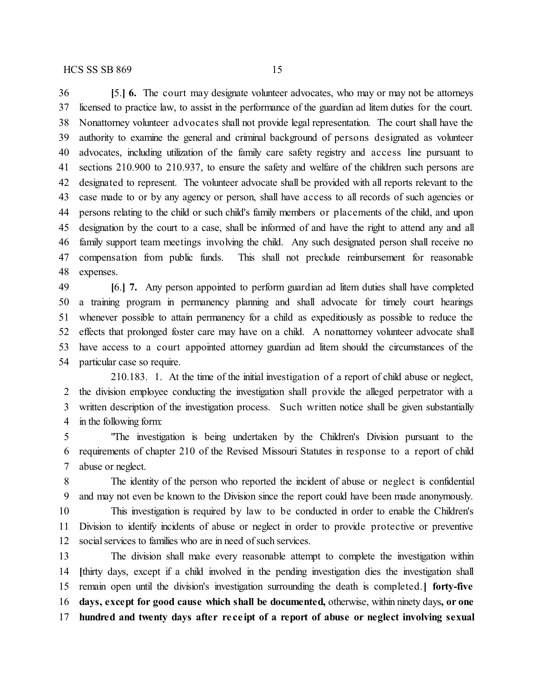**[**5.**] 6.** The court may designate volunteer advocates, who may or may not be attorneys licensed to practice law, to assist in the performance of the guardian ad litem duties for the court. Nonattorney volunteer advocates shall not provide legal representation. The court shall have the authority to examine the general and criminal background of persons designated as volunteer advocates, including utilization of the family care safety registry and access line pursuant to sections 210.900 to 210.937, to ensure the safety and welfare of the children such persons are designated to represent. The volunteer advocate shall be provided with all reports relevant to the case made to or by any agency or person, shall have access to all records of such agencies or persons relating to the child or such child's family members or placements of the child, and upon designation by the court to a case, shall be informed of and have the right to attend any and all family support team meetings involving the child. Any such designated person shall receive no compensation from public funds. This shall not preclude reimbursement for reasonable expenses.

 **[**6.**] 7.** Any person appointed to perform guardian ad litem duties shall have completed a training program in permanency planning and shall advocate for timely court hearings whenever possible to attain permanency for a child as expeditiously as possible to reduce the effects that prolonged foster care may have on a child. A nonattorney volunteer advocate shall have access to a court appointed attorney guardian ad litem should the circumstances of the particular case so require.

210.183. 1. At the time of the initial investigation of a report of child abuse or neglect, the division employee conducting the investigation shall provide the alleged perpetrator with a written description of the investigation process. Such written notice shall be given substantially in the following form:

 "The investigation is being undertaken by the Children's Division pursuant to the requirements of chapter 210 of the Revised Missouri Statutes in response to a report of child abuse or neglect.

 The identity of the person who reported the incident of abuse or neglect is confidential and may not even be known to the Division since the report could have been made anonymously.

 This investigation is required by law to be conducted in order to enable the Children's Division to identify incidents of abuse or neglect in order to provide protective or preventive 12 social services to families who are in need of such services.

 The division shall make every reasonable attempt to complete the investigation within **[**thirty days, except if a child involved in the pending investigation dies the investigation shall remain open until the division's investigation surrounding the death is completed.**] forty-five days, except for good cause which shall be documented,** otherwise, within ninety days**, or one hundred and twenty days after re ce ipt of a report of abuse or neglect involving sexual**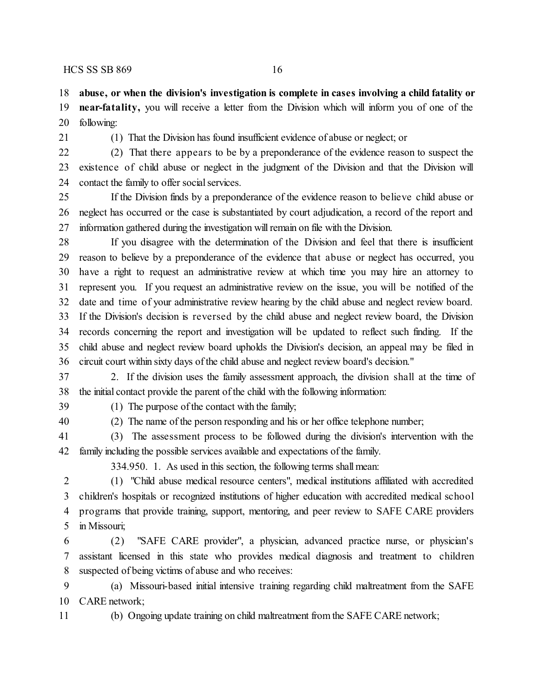**abuse, or when the division's investigation is complete in cases involving a child fatality or**

 **near-fatality,** you will receive a letter from the Division which will inform you of one of the following:

(1) That the Division has found insufficient evidence of abuse or neglect; or

 (2) That there appears to be by a preponderance of the evidence reason to suspect the existence of child abuse or neglect in the judgment of the Division and that the Division will contact the family to offer social services.

 If the Division finds by a preponderance of the evidence reason to believe child abuse or neglect has occurred or the case is substantiated by court adjudication, a record of the report and information gathered during the investigation will remain on file with the Division.

 If you disagree with the determination of the Division and feel that there is insufficient reason to believe by a preponderance of the evidence that abuse or neglect has occurred, you have a right to request an administrative review at which time you may hire an attorney to represent you. If you request an administrative review on the issue, you will be notified of the date and time of your administrative review hearing by the child abuse and neglect review board. If the Division's decision is reversed by the child abuse and neglect review board, the Division records concerning the report and investigation will be updated to reflect such finding. If the child abuse and neglect review board upholds the Division's decision, an appeal may be filed in circuit court within sixty days of the child abuse and neglect review board's decision."

 2. If the division uses the family assessment approach, the division shall at the time of the initial contact provide the parent of the child with the following information:

(1) The purpose of the contact with the family;

(2) The name of the person responding and his or her office telephone number;

 (3) The assessment process to be followed during the division's intervention with the family including the possible services available and expectations of the family.

334.950. 1. As used in this section, the following terms shallmean:

 (1) "Child abuse medical resource centers", medical institutions affiliated with accredited children's hospitals or recognized institutions of higher education with accredited medical school programs that provide training, support, mentoring, and peer review to SAFE CARE providers in Missouri;

 (2) "SAFE CARE provider", a physician, advanced practice nurse, or physician's assistant licensed in this state who provides medical diagnosis and treatment to children suspected of being victims of abuse and who receives:

 (a) Missouri-based initial intensive training regarding child maltreatment from the SAFE CARE network;

(b) Ongoing update training on child maltreatment from the SAFE CARE network;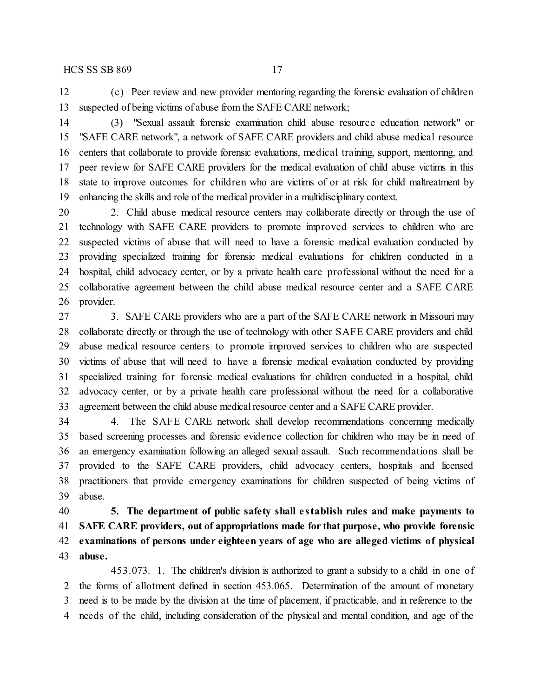(c) Peer review and new provider mentoring regarding the forensic evaluation of children suspected of being victims of abuse from the SAFE CARE network;

 (3) "Sexual assault forensic examination child abuse resource education network" or "SAFE CARE network", a network of SAFE CARE providers and child abuse medical resource centers that collaborate to provide forensic evaluations, medical training, support, mentoring, and peer review for SAFE CARE providers for the medical evaluation of child abuse victims in this state to improve outcomes for children who are victims of or at risk for child maltreatment by enhancing the skills and role of the medical provider in a multidisciplinary context.

 2. Child abuse medical resource centers may collaborate directly or through the use of technology with SAFE CARE providers to promote improved services to children who are suspected victims of abuse that will need to have a forensic medical evaluation conducted by providing specialized training for forensic medical evaluations for children conducted in a hospital, child advocacy center, or by a private health care professional without the need for a collaborative agreement between the child abuse medical resource center and a SAFE CARE provider.

27 3. SAFE CARE providers who are a part of the SAFE CARE network in Missouri may collaborate directly or through the use of technology with other SAFE CARE providers and child abuse medical resource centers to promote improved services to children who are suspected victims of abuse that will need to have a forensic medical evaluation conducted by providing specialized training for forensic medical evaluations for children conducted in a hospital, child advocacy center, or by a private health care professional without the need for a collaborative 33 agreement between the child abuse medical resource center and a SAFE CARE provider.

 4. The SAFE CARE network shall develop recommendations concerning medically based screening processes and forensic evidence collection for children who may be in need of an emergency examination following an alleged sexual assault. Such recommendations shall be provided to the SAFE CARE providers, child advocacy centers, hospitals and licensed practitioners that provide emergency examinations for children suspected of being victims of abuse.

 **5. The department of public safety shall e stablish rules and make payments to SAFE CARE providers, out of appropriations made for that purpose, who provide forensic examinations of persons under eighteen years of age who are alleged victims of physical abuse.**

453.073. 1. The children's division is authorized to grant a subsidy to a child in one of the forms of allotment defined in section 453.065. Determination of the amount of monetary need is to be made by the division at the time of placement, if practicable, and in reference to the needs of the child, including consideration of the physical and mental condition, and age of the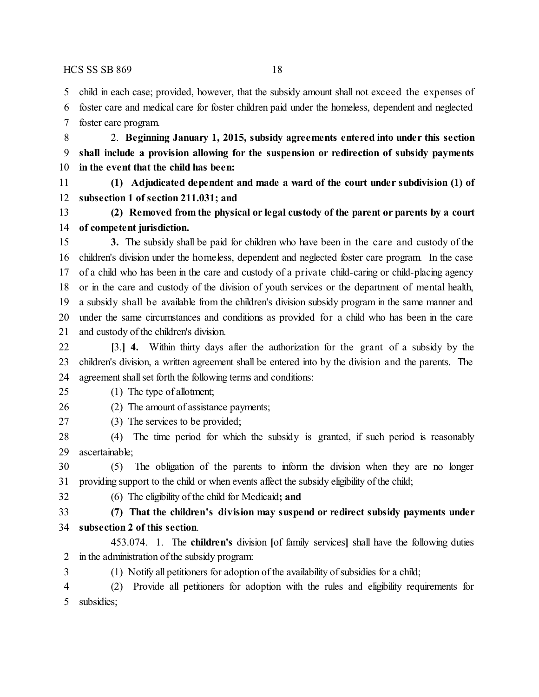child in each case; provided, however, that the subsidy amount shall not exceed the expenses of

 foster care and medical care for foster children paid under the homeless, dependent and neglected foster care program.

 2. **Beginning January 1, 2015, subsidy agreements entered into under this section shall include a provision allowing for the suspension or redirection of subsidy payments in the event that the child has been:**

 **(1) Adjudicated dependent and made a ward of the court under subdivision (1) of subsection 1 of section 211.031; and**

 **(2) Removed from the physical or legal custody of the parent or parents by a court of competent jurisdiction.**

 **3.** The subsidy shall be paid for children who have been in the care and custody of the children's division under the homeless, dependent and neglected foster care program. In the case of a child who has been in the care and custody of a private child-caring or child-placing agency or in the care and custody of the division of youth services or the department of mental health, a subsidy shall be available from the children's division subsidy program in the same manner and under the same circumstances and conditions as provided for a child who has been in the care and custody of the children's division.

 **[**3.**] 4.** Within thirty days after the authorization for the grant of a subsidy by the children's division, a written agreement shall be entered into by the division and the parents. The agreement shall set forth the following terms and conditions:

(1) The type of allotment;

#### (2) The amount of assistance payments;

(3) The services to be provided;

 (4) The time period for which the subsidy is granted, if such period is reasonably ascertainable;

 (5) The obligation of the parents to inform the division when they are no longer providing support to the child or when events affect the subsidy eligibility of the child;

(6) The eligibility of the child for Medicaid**; and**

 **(7) That the children's division may suspend or redirect subsidy payments under subsection 2 of this section**.

453.074. 1. The **children's** division **[**of family services**]** shall have the following duties in the administration of the subsidy program:

3 (1) Notify all petitioners for adoption of the availability of subsidies for a child;

 (2) Provide all petitioners for adoption with the rules and eligibility requirements for subsidies;